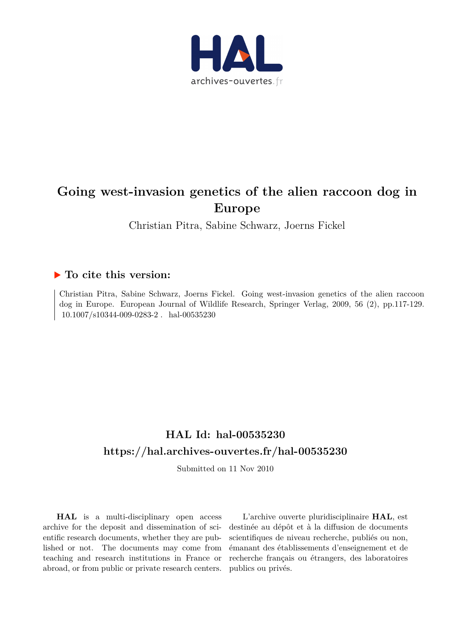

# **Going west-invasion genetics of the alien raccoon dog in Europe**

Christian Pitra, Sabine Schwarz, Joerns Fickel

### **To cite this version:**

Christian Pitra, Sabine Schwarz, Joerns Fickel. Going west-invasion genetics of the alien raccoon dog in Europe. European Journal of Wildlife Research, Springer Verlag, 2009, 56 (2), pp.117-129.  $10.1007/s10344-009-0283-2$ . hal-00535230

## **HAL Id: hal-00535230 <https://hal.archives-ouvertes.fr/hal-00535230>**

Submitted on 11 Nov 2010

**HAL** is a multi-disciplinary open access archive for the deposit and dissemination of scientific research documents, whether they are published or not. The documents may come from teaching and research institutions in France or abroad, or from public or private research centers.

L'archive ouverte pluridisciplinaire **HAL**, est destinée au dépôt et à la diffusion de documents scientifiques de niveau recherche, publiés ou non, émanant des établissements d'enseignement et de recherche français ou étrangers, des laboratoires publics ou privés.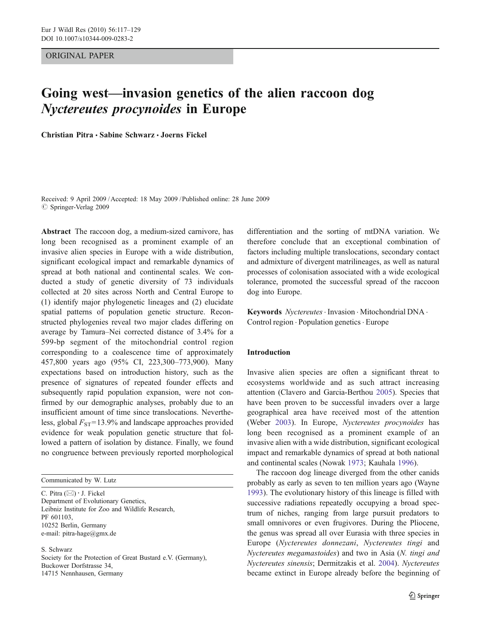#### ORIGINAL PAPER

### Going west*—*invasion genetics of the alien raccoon dog Nyctereutes procynoides in Europe

Christian Pitra · Sabine Schwarz · Joerns Fickel

Received: 9 April 2009 /Accepted: 18 May 2009 / Published online: 28 June 2009  $\oslash$  Springer-Verlag 2009

Abstract The raccoon dog, a medium-sized carnivore, has long been recognised as a prominent example of an invasive alien species in Europe with a wide distribution, significant ecological impact and remarkable dynamics of spread at both national and continental scales. We conducted a study of genetic diversity of 73 individuals collected at 20 sites across North and Central Europe to (1) identify major phylogenetic lineages and (2) elucidate spatial patterns of population genetic structure. Reconstructed phylogenies reveal two major clades differing on average by Tamura–Nei corrected distance of 3.4% for a 599-bp segment of the mitochondrial control region corresponding to a coalescence time of approximately 457,800 years ago (95% CI, 223,300–773,900). Many expectations based on introduction history, such as the presence of signatures of repeated founder effects and subsequently rapid population expansion, were not confirmed by our demographic analyses, probably due to an insufficient amount of time since translocations. Nevertheless, global  $F_{ST}$ =13.9% and landscape approaches provided evidence for weak population genetic structure that followed a pattern of isolation by distance. Finally, we found no congruence between previously reported morphological

Communicated by W. Lutz

C. Pitra (*\**) *:* J. Fickel Department of Evolutionary Genetics, Leibniz Institute for Zoo and Wildlife Research, PF 601103, 10252 Berlin, Germany e-mail: pitra-hage@gmx.de

S. Schwarz

Society for the Protection of Great Bustard e.V. (Germany), Buckower Dorfstrasse 34, 14715 Nennhausen, Germany

differentiation and the sorting of mtDNA variation. We therefore conclude that an exceptional combination of factors including multiple translocations, secondary contact and admixture of divergent matrilineages, as well as natural processes of colonisation associated with a wide ecological tolerance, promoted the successful spread of the raccoon dog into Europe.

Keywords Nyctereutes · Invasion · Mitochondrial DNA · Control region . Population genetics . Europe

#### Introduction

Invasive alien species are often a significant threat to ecosystems worldwide and as such attract increasing attention (Clavero and Garcia-Berthou [2005](#page-11-0)). Species that have been proven to be successful invaders over a large geographical area have received most of the attention (Weber [2003](#page-13-0)). In Europe, Nyctereutes procynoides has long been recognised as a prominent example of an invasive alien with a wide distribution, significant ecological impact and remarkable dynamics of spread at both national and continental scales (Nowak [1973;](#page-12-0) Kauhala [1996\)](#page-12-0).

The raccoon dog lineage diverged from the other canids probably as early as seven to ten million years ago (Wayne [1993](#page-13-0)). The evolutionary history of this lineage is filled with successive radiations repeatedly occupying a broad spectrum of niches, ranging from large pursuit predators to small omnivores or even frugivores. During the Pliocene, the genus was spread all over Eurasia with three species in Europe (Nyctereutes donnezani, Nyctereutes tingi and Nyctereutes megamastoides) and two in Asia (N. tingi and Nyctereutes sinensis; Dermitzakis et al. [2004\)](#page-11-0). Nyctereutes became extinct in Europe already before the beginning of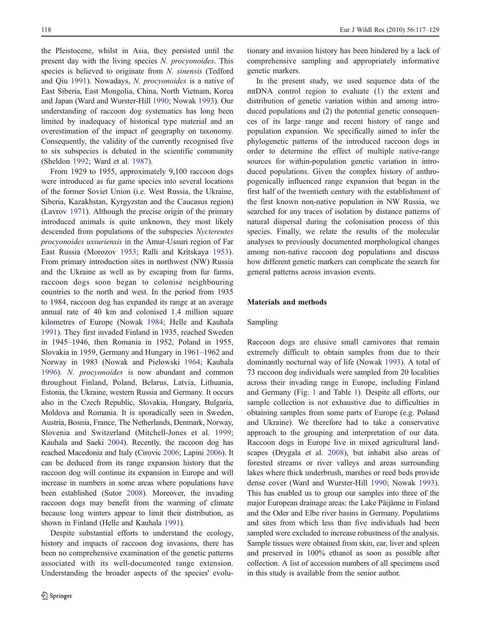the Pleistocene, whilst in Asia, they persisted until the present day with the living species N. procyonoides. This species is believed to originate from N. sinensis (Tedford and Qiu [1991\)](#page-12-0). Nowadays, N. procyonoides is a native of East Siberia, East Mongolia, China, North Vietnam, Korea and Japan (Ward and Wurster-Hill [1990](#page-13-0); Nowak [1993](#page-12-0)). Our understanding of raccoon dog systematics has long been limited by inadequacy of historical type material and an overestimation of the impact of geography on taxonomy. Consequently, the validity of the currently recognised five to six subspecies is debated in the scientific community (Sheldon [1992](#page-12-0); Ward et al. [1987\)](#page-13-0).

From 1929 to 1955, approximately 9,100 raccoon dogs were introduced as fur game species into several locations of the former Soviet Union (i.e. West Russia, the Ukraine, Siberia, Kazakhstan, Kyrgyzstan and the Caucasus region) (Lavrov [1971](#page-12-0)). Although the precise origin of the primary introduced animals is quite unknown, they most likely descended from populations of the subspecies Nyctereutes procyonoides ussuriensis in the Amur-Ussuri region of Far East Russia (Morozov [1953;](#page-12-0) Ralli and Kritskaya [1953](#page-12-0)). From primary introduction sites in northwest (NW) Russia and the Ukraine as well as by escaping from fur farms, raccoon dogs soon began to colonise neighbouring countries to the north and west. In the period from 1935 to 1984, raccoon dog has expanded its range at an average annual rate of 40 km and colonised 1.4 million square kilometres of Europe (Nowak [1984](#page-12-0); Helle and Kauhala [1991\)](#page-11-0). They first invaded Finland in 1935, reached Sweden in 1945–1946, then Romania in 1952, Poland in 1955, Slovakia in 1959, Germany and Hungary in 1961–1962 and Norway in 1983 (Nowak and Pielowski [1964](#page-12-0); Kauhala [1996](#page-12-0)). N. procyonoides is now abundant and common throughout Finland, Poland, Belarus, Latvia, Lithuania, Estonia, the Ukraine, western Russia and Germany. It occurs also in the Czech Republic, Slovakia, Hungary, Bulgaria, Moldova and Romania. It is sporadically seen in Sweden, Austria, Bosnia, France, The Netherlands, Denmark, Norway, Slovenia and Switzerland (Mitchell-Jones et al. [1999](#page-12-0); Kauhala and Saeki [2004](#page-12-0)). Recently, the raccoon dog has reached Macedonia and Italy (Cirovic [2006;](#page-11-0) Lapini [2006\)](#page-12-0). It can be deduced from its range expansion history that the raccoon dog will continue its expansion in Europe and will increase in numbers in some areas where populations have been established (Sutor [2008\)](#page-12-0). Moreover, the invading raccoon dogs may benefit from the warming of climate because long winters appear to limit their distribution, as shown in Finland (Helle and Kauhala [1991](#page-11-0)).

Despite substantial efforts to understand the ecology, history and impacts of raccoon dog invasions, there has been no comprehensive examination of the genetic patterns associated with its well-documented range extension. Understanding the broader aspects of the species' evolu-

tionary and invasion history has been hindered by a lack of comprehensive sampling and appropriately informative genetic markers.

In the present study, we used sequence data of the mtDNA control region to evaluate (1) the extent and distribution of genetic variation within and among introduced populations and (2) the potential genetic consequences of its large range and recent history of range and population expansion. We specifically aimed to infer the phylogenetic patterns of the introduced raccoon dogs in order to determine the effect of multiple native-range sources for within-population genetic variation in introduced populations. Given the complex history of anthropogenically influenced range expansion that began in the first half of the twentieth century with the establishment of the first known non-native population in NW Russia, we searched for any traces of isolation by distance patterns of natural dispersal during the colonisation process of this species. Finally, we relate the results of the molecular analyses to previously documented morphological changes among non-native raccoon dog populations and discuss how different genetic markers can complicate the search for general patterns across invasion events.

#### Materials and methods

#### Sampling

Raccoon dogs are elusive small carnivores that remain extremely difficult to obtain samples from due to their dominantly nocturnal way of life (Nowak [1993\)](#page-12-0). A total of 73 raccoon dog individuals were sampled from 20 localities across their invading range in Europe, including Finland and Germany (Fig. [1](#page-3-0) and Table [1](#page-4-0)). Despite all efforts, our sample collection is not exhaustive due to difficulties in obtaining samples from some parts of Europe (e.g. Poland and Ukraine). We therefore had to take a conservative approach to the grouping and interpretation of our data. Raccoon dogs in Europe live in mixed agricultural landscapes (Drygala et al. [2008](#page-11-0)), but inhabit also areas of forested streams or river valleys and areas surrounding lakes where thick underbrush, marshes or reed beds provide dense cover (Ward and Wurster-Hill [1990](#page-13-0); Nowak [1993\)](#page-12-0). This has enabled us to group our samples into three of the major European drainage areas: the Lake Päijänne in Finland and the Oder and Elbe river basins in Germany. Populations and sites from which less than five individuals had been sampled were excluded to increase robustness of the analysis. Sample tissues were obtained from skin, ear, liver and spleen and preserved in 100% ethanol as soon as possible after collection. A list of accession numbers of all specimens used in this study is available from the senior author.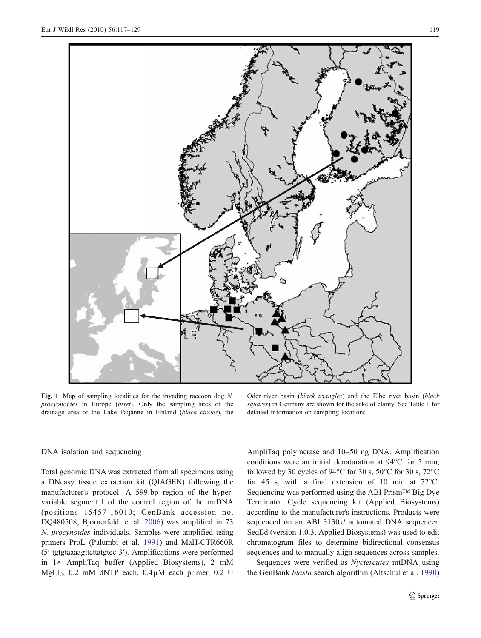<span id="page-3-0"></span>

Fig. 1 Map of sampling localities for the invading raccoon dog N. procyonoides in Europe (inset). Only the sampling sites of the drainage area of the Lake Päijänne in Finland (black circles), the

Oder river basin (black triangles) and the Elbe river basin (black squares) in Germany are shown for the sake of clarity. See Table [1](#page-4-0) for detailed information on sampling locations

#### DNA isolation and sequencing

Total genomic DNA was extracted from all specimens using a DNeasy tissue extraction kit (QIAGEN) following the manufacturer's protocol. A 599-bp region of the hypervariable segment I of the control region of the mtDNA (positions 15457-16010; GenBank accession no. DQ480508; Bjornerfeldt et al. [2006\)](#page-11-0) was amplified in 73 N. procynoides individuals. Samples were amplified using primers ProL (Palumbi et al. [1991](#page-12-0)) and MaH-CTR660R (5′-tgtgtaaaagttcttatgtcc-3′). Amplifications were performed in 1× AmpliTaq buffer (Applied Biosystems), 2 mM MgCl<sub>2</sub>, 0.2 mM dNTP each,  $0.4\mu$ M each primer, 0.2 U AmpliTaq polymerase and 10–50 ng DNA. Amplification conditions were an initial denaturation at 94°C for 5 min, followed by 30 cycles of 94 $\degree$ C for 30 s, 50 $\degree$ C for 30 s, 72 $\degree$ C for 45 s, with a final extension of 10 min at 72°C. Sequencing was performed using the ABI Prism*™* Big Dye Terminator Cycle sequencing kit (Applied Biosystems) according to the manufacturer's instructions. Products were sequenced on an ABI 3130xl automated DNA sequencer. SeqEd (version 1.0.3, Applied Biosystems) was used to edit chromatogram files to determine bidirectional consensus sequences and to manually align sequences across samples.

Sequences were verified as Nyctereutes mtDNA using the GenBank *blastn* search algorithm (Altschul et al. [1990](#page-11-0))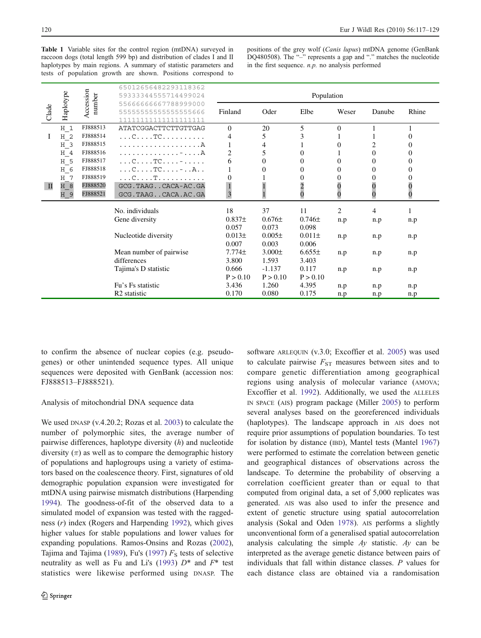<span id="page-4-0"></span>Table 1 Variable sites for the control region (mtDNA) surveyed in raccoon dogs (total length 599 bp) and distribution of clades I and II haplotypes by main regions. A summary of statistic parameters and tests of population growth are shown. Positions correspond to positions of the grey wolf (Canis lupus) mtDNA genome (GenBank DQ480508). The "-" represents a gap and "." matches the nucleotide in the first sequence.  $n.p$ . no analysis performed

|       | Haplotype      | Accession<br>number | 65012656482293118362<br>59333344555714499024   | Population |             |            |                |                  |              |
|-------|----------------|---------------------|------------------------------------------------|------------|-------------|------------|----------------|------------------|--------------|
| Clade |                |                     | 55666666667788999000<br>5555555555555555666    | Finland    | Oder        | Elbe       | Weser          | Danube           | Rhine        |
|       | $H_1$          | FJ888513            | ATATCGGACTTCTTGTTGAG                           | $\Omega$   | 20          | 5          | $\theta$       |                  |              |
| I     | H <sub>2</sub> | FJ888514            | . C TC                                         | 4          | 5           | 3          |                |                  | $\theta$     |
|       | H <sub>3</sub> | FJ888515            |                                                |            | 4           |            | 0              | 2                | $\theta$     |
|       | H 4            | FJ888516            | . - A                                          | 2          | 5           | 0          |                | $\theta$         | $\theta$     |
|       | $H_5$          | FJ888517            | $\ldots$ C. $\ldots$ TC. $\ldots$ - $\ldots$ . | 6          | $\Omega$    | 0          | 0              | $\Omega$         | $\theta$     |
|       | H 6            | FJ888518            | $\ldots$ C $\ldots$ TC - $\ldots$ A            |            | $\Omega$    | 0          | 0              | $\Omega$         | $\Omega$     |
|       | H 7            | FJ888519            | . C T                                          |            |             |            | 0              | $\boldsymbol{0}$ | 0            |
| П     | H 8            | FJ888520            | GCG.TAAGCACA-AC.GA                             |            |             | 2          | 0              | $\overline{0}$   | $\mathbf{0}$ |
|       | H 9            | FJ888521            | GCG. TAAG CACA.AC.GA                           | 3          |             | 0          | 0              | $\bf{0}$         | 0            |
|       |                |                     | No. individuals                                | 18         | 37          | 11         | $\overline{c}$ | $\overline{4}$   | 1            |
|       |                |                     | Gene diversity                                 | $0.837\pm$ | $0.676\pm$  | $0.746\pm$ | n.p            | n.p              | n.p          |
|       |                |                     |                                                | 0.057      | 0.073       | 0.098      |                |                  |              |
|       |                |                     | Nucleotide diversity                           | $0.013\pm$ | $0.005\pm$  | $0.011\pm$ | n.p            | n.p              | n.p          |
|       |                |                     |                                                | 0.007      | 0.003       | 0.006      |                |                  |              |
|       |                |                     | Mean number of pairwise                        | $7.774\pm$ | $3.000 \pm$ | $6.655\pm$ | n.p            | n.p              | n.p          |
|       |                |                     | differences                                    | 3.800      | 1.593       | 3.403      |                |                  |              |
|       |                |                     | Tajima's D statistic                           | 0.666      | $-1.137$    | 0.117      | n.p            | n.p              | n.p          |
|       |                |                     |                                                | P > 0.10   | P > 0.10    | P > 0.10   |                |                  |              |
|       |                |                     | Fu's Fs statistic                              | 3.436      | 1.260       | 4.395      | n.p            | n.p              | n.p          |
|       |                |                     | R <sub>2</sub> statistic                       | 0.170      | 0.080       | 0.175      | n.p            | n.p              | n.p          |

to confirm the absence of nuclear copies (e.g. pseudogenes) or other unintended sequence types. All unique sequences were deposited with GenBank (accession nos: FJ888513–FJ888521).

#### Analysis of mitochondrial DNA sequence data

We used DNASP (v.4.20.2; Rozas et al. [2003](#page-12-0)) to calculate the number of polymorphic sites, the average number of pairwise differences, haplotype diversity  $(h)$  and nucleotide diversity  $(\pi)$  as well as to compare the demographic history of populations and haplogroups using a variety of estimators based on the coalescence theory. First, signatures of old demographic population expansion were investigated for mtDNA using pairwise mismatch distributions (Harpending [1994](#page-11-0)). The goodness-of-fit of the observed data to a simulated model of expansion was tested with the raggedness (r) index (Rogers and Harpending [1992\)](#page-12-0), which gives higher values for stable populations and lower values for expanding populations. Ramos-Onsins and Rozas [\(2002](#page-12-0)), Tajima and Tajima [\(1989](#page-12-0)), Fu's [\(1997](#page-11-0))  $F<sub>S</sub>$  tests of selective neutrality as well as Fu and Li's [\(1993\)](#page-11-0)  $D^*$  and  $F^*$  test statistics were likewise performed using DNASP. The

software ARLEQUIN (v.3.0; Excoffier et al. [2005\)](#page-11-0) was used to calculate pairwise  $F_{ST}$  measures between sites and to compare genetic differentiation among geographical regions using analysis of molecular variance (AMOVA; Excoffier et al. [1992](#page-11-0)). Additionally, we used the ALLELES IN SPACE (AIS) program package (Miller [2005](#page-12-0)) to perform several analyses based on the georeferenced individuals (haplotypes). The landscape approach in AIS does not require prior assumptions of population boundaries. To test for isolation by distance (IBD), Mantel tests (Mantel [1967](#page-12-0)) were performed to estimate the correlation between genetic and geographical distances of observations across the landscape. To determine the probability of observing a correlation coefficient greater than or equal to that computed from original data, a set of 5,000 replicates was generated. AIS was also used to infer the presence and extent of genetic structure using spatial autocorrelation analysis (Sokal and Oden [1978](#page-12-0)). AIS performs a slightly unconventional form of a generalised spatial autocorrelation analysis calculating the simple Ay statistic. Ay can be interpreted as the average genetic distance between pairs of individuals that fall within distance classes. P values for each distance class are obtained via a randomisation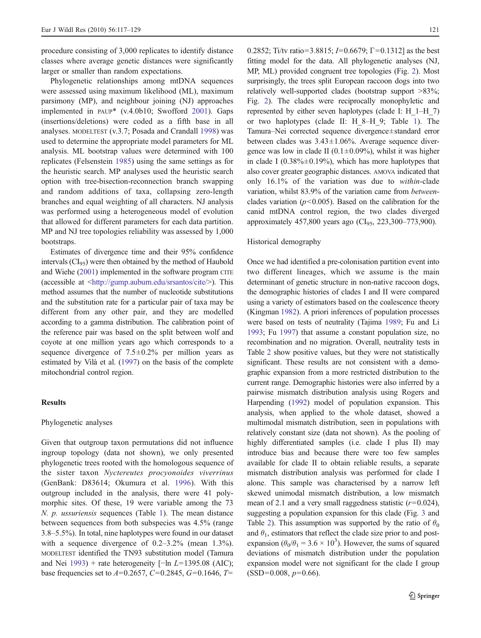procedure consisting of 3,000 replicates to identify distance classes where average genetic distances were significantly larger or smaller than random expectations.

Phylogenetic relationships among mtDNA sequences were assessed using maximum likelihood (ML), maximum parsimony (MP), and neighbour joining (NJ) approaches implemented in PAUP\* (v.4.0b10; Swofford [2001\)](#page-12-0). Gaps (insertions/deletions) were coded as a fifth base in all analyses. MODELTEST (v.3.7; Posada and Crandall [1998\)](#page-12-0) was used to determine the appropriate model parameters for ML analysis. ML bootstrap values were determined with 100 replicates (Felsenstein [1985\)](#page-11-0) using the same settings as for the heuristic search. MP analyses used the heuristic search option with tree-bisection-reconnection branch swapping and random additions of taxa, collapsing zero-length branches and equal weighting of all characters. NJ analysis was performed using a heterogeneous model of evolution that allowed for different parameters for each data partition. MP and NJ tree topologies reliability was assessed by 1,000 bootstraps.

Estimates of divergence time and their 95% confidence intervals  $(Cl_{95})$  were then obtained by the method of Haubold and Wiehe ([2001](#page-11-0)) implemented in the software program CITE (accessible at <[http://gump.auburn.edu/srsantos/cite/>](http://gump.auburn.edu/srsantos/cite/)). This method assumes that the number of nucleotide substitutions and the substitution rate for a particular pair of taxa may be different from any other pair, and they are modelled according to a gamma distribution. The calibration point of the reference pair was based on the split between wolf and coyote at one million years ago which corresponds to a sequence divergence of  $7.5 \pm 0.2$ % per million years as estimated by Vilà et al. [\(1997](#page-12-0)) on the basis of the complete mitochondrial control region.

#### Results

#### Phylogenetic analyses

Given that outgroup taxon permutations did not influence ingroup topology (data not shown), we only presented phylogenetic trees rooted with the homologous sequence of the sister taxon Nyctereutes procyonoides viverrinus (GenBank: D83614; Okumura et al. [1996\)](#page-12-0). With this outgroup included in the analysis, there were 41 polymorphic sites. Of these, 19 were variable among the 73 N. p. ussuriensis sequences (Table [1](#page-4-0)). The mean distance between sequences from both subspecies was 4.5% (range 3.8–5.5%). In total, nine haplotypes were found in our dataset with a sequence divergence of  $0.2-3.2\%$  (mean 1.3%). MODELTEST identified the TN93 substitution model (Tamura and Nei [1993\)](#page-12-0) + rate heterogeneity [*−*ln L=1395.08 (AIC); base frequencies set to  $A=0.2657$ ,  $C=0.2845$ ,  $G=0.1646$ ,  $T=$ 

0.2852; Ti/tv ratio=3.8815; I=0.6679;  $\Gamma$ =0.1312] as the best fitting model for the data. All phylogenetic analyses (NJ, MP, ML) provided congruent tree topologies (Fig. [2](#page-6-0)). Most surprisingly, the trees split European raccoon dogs into two relatively well-supported clades (bootstrap support >83%; Fig. [2](#page-6-0)). The clades were reciprocally monophyletic and represented by either seven haplotypes (clade I: H\_1–H\_7) or two haplotypes (clade II: H\_8–H\_9; Table [1\)](#page-4-0). The Tamura–Nei corrected sequence divergence±standard error between clades was 3.43±1.06%. Average sequence divergence was low in clade II ( $0.1 \pm 0.09\%$ ), whilst it was higher in clade I ( $0.38\% \pm 0.19\%$ ), which has more haplotypes that also cover greater geographic distances. AMOVA indicated that only 16.1% of the variation was due to within-clade variation, whilst 83.9% of the variation came from betweenclades variation ( $p$ <0.005). Based on the calibration for the canid mtDNA control region, the two clades diverged approximately 457,800 years ago (CI<sub>95</sub>, 223,300–773,900).

#### Historical demography

Once we had identified a pre-colonisation partition event into two different lineages, which we assume is the main determinant of genetic structure in non-native raccoon dogs, the demographic histories of clades I and II were compared using a variety of estimators based on the coalescence theory (Kingman [1982](#page-12-0)). A priori inferences of population processes were based on tests of neutrality (Tajima [1989](#page-12-0); Fu and Li [1993;](#page-11-0) Fu [1997\)](#page-11-0) that assume a constant population size, no recombination and no migration. Overall, neutrality tests in Table [2](#page-7-0) show positive values, but they were not statistically significant. These results are not consistent with a demographic expansion from a more restricted distribution to the current range. Demographic histories were also inferred by a pairwise mismatch distribution analysis using Rogers and Harpending ([1992](#page-12-0)) model of population expansion. This analysis, when applied to the whole dataset, showed a multimodal mismatch distribution, seen in populations with relatively constant size (data not shown). As the pooling of highly differentiated samples (i.e. clade I plus II) may introduce bias and because there were too few samples available for clade II to obtain reliable results, a separate mismatch distribution analysis was performed for clade I alone. This sample was characterised by a narrow left skewed unimodal mismatch distribution, a low mismatch mean of 2.1 and a very small raggedness statistic  $(r=0.024)$ , suggesting a population expansion for this clade (Fig. [3](#page-8-0) and Table [2](#page-7-0)). This assumption was supported by the ratio of  $\theta_0$ and  $\theta_1$ , estimators that reflect the clade size prior to and postexpansion ( $\theta_0/\theta_1 = 3.6 \times 10^3$ ). However, the sums of squared deviations of mismatch distribution under the population expansion model were not significant for the clade I group  $(SSD=0.008, p=0.66)$ .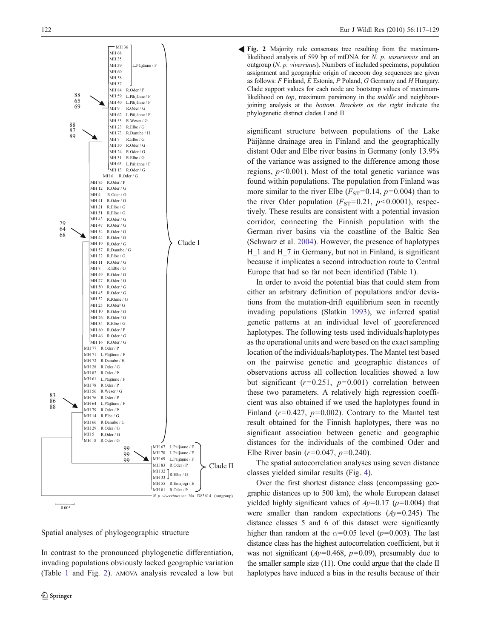<span id="page-6-0"></span>

Spatial analyses of phylogeographic structure

In contrast to the pronounced phylogenetic differentiation, invading populations obviously lacked geographic variation (Table [1](#page-4-0) and Fig. 2). AMOVA analysis revealed a low but

Fig. 2 Majority rule consensus tree resulting from the maximum-R likelihood analysis of 599 bp of mtDNA for N. p. ussuriensis and an outgroup (N. p. viverrinus). Numbers of included specimens, population assignment and geographic origin of raccoon dog sequences are given as follows: F Finland, E Estonia, P Poland, G Germany and H Hungary. Clade support values for each node are bootstrap values of maximumlikelihood on top, maximum parsimony in the *middle* and neighbourjoining analysis at the bottom. Brackets on the right indicate the phylogenetic distinct clades I and II

significant structure between populations of the Lake Päijänne drainage area in Finland and the geographically distant Oder and Elbe river basins in Germany (only 13.9% of the variance was assigned to the difference among those regions,  $p<0.001$ ). Most of the total genetic variance was found within populations. The population from Finland was more similar to the river Elbe  $(F_{ST}=0.14, p=0.004)$  than to the river Oder population  $(F_{ST}=0.21, p<0.0001)$ , respectively. These results are consistent with a potential invasion corridor, connecting the Finnish population with the German river basins via the coastline of the Baltic Sea (Schwarz et al. [2004](#page-12-0)). However, the presence of haplotypes H 1 and H 7 in Germany, but not in Finland, is significant because it implicates a second introduction route to Central Europe that had so far not been identified (Table [1](#page-4-0)).

In order to avoid the potential bias that could stem from either an arbitrary definition of populations and/or deviations from the mutation-drift equilibrium seen in recently invading populations (Slatkin [1993\)](#page-12-0), we inferred spatial genetic patterns at an individual level of georeferenced haplotypes. The following tests used individuals/haplotypes as the operational units and were based on the exact sampling location of the individuals/haplotypes. The Mantel test based on the pairwise genetic and geographic distances of observations across all collection localities showed a low but significant  $(r=0.251, p=0.001)$  correlation between these two parameters. A relatively high regression coefficient was also obtained if we used the haplotypes found in Finland ( $r=0.427$ ,  $p=0.002$ ). Contrary to the Mantel test result obtained for the Finnish haplotypes, there was no significant association between genetic and geographic distances for the individuals of the combined Oder and Elbe River basin ( $r=0.047$ ,  $p=0.240$ ).

The spatial autocorrelation analyses using seven distance classes yielded similar results (Fig. [4\)](#page-9-0).

Over the first shortest distance class (encompassing geographic distances up to 500 km), the whole European dataset yielded highly significant values of  $Ay=0.17$  ( $p=0.004$ ) that were smaller than random expectations  $(Ay=0.245)$  The distance classes 5 and 6 of this dataset were significantly higher than random at the  $\alpha$ =0.05 level (p=0.003). The last distance class has the highest autocorrelation coefficient, but it was not significant ( $Ay=0.468$ ,  $p=0.09$ ), presumably due to the smaller sample size (11). One could argue that the clade II haplotypes have induced a bias in the results because of their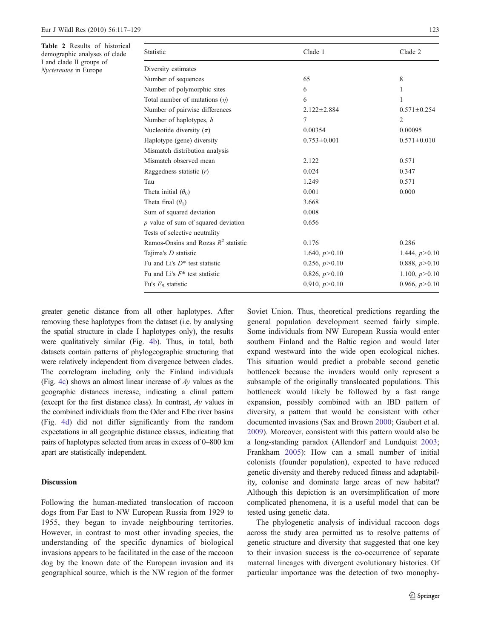<span id="page-7-0"></span>Table 2 Results of historical demographic analyses of clade I and clade II groups of Nyctereutes in Europe

| Statistic                              | Clade 1           | Clade 2           |  |
|----------------------------------------|-------------------|-------------------|--|
| Diversity estimates                    |                   |                   |  |
| Number of sequences                    | 65                | 8                 |  |
| Number of polymorphic sites            | 6                 | 1                 |  |
| Total number of mutations $(n)$        | 6                 | 1.                |  |
| Number of pairwise differences         | $2.122 \pm 2.884$ | $0.571 \pm 0.254$ |  |
| Number of haplotypes, h                | 7                 | 2                 |  |
| Nucleotide diversity $(\pi)$           | 0.00354           | 0.00095           |  |
| Haplotype (gene) diversity             | $0.753 \pm 0.001$ | $0.571 \pm 0.010$ |  |
| Mismatch distribution analysis         |                   |                   |  |
| Mismatch observed mean                 | 2.122             | 0.571             |  |
| Raggedness statistic $(r)$             | 0.024             | 0.347             |  |
| Tau                                    | 1.249             | 0.571             |  |
| Theta initial $(\theta_0)$             | 0.001             | 0.000             |  |
| Theta final $(\theta_1)$               | 3.668             |                   |  |
| Sum of squared deviation               | 0.008             |                   |  |
| $p$ value of sum of squared deviation  | 0.656             |                   |  |
| Tests of selective neutrality          |                   |                   |  |
| Ramos-Onsins and Rozas $R^2$ statistic | 0.176             | 0.286             |  |
| Tajima's <i>D</i> statistic            | 1.640, $p > 0.10$ | 1.444, $p > 0.10$ |  |
| Fu and Li's $D^*$ test statistic       | 0.256, p > 0.10   | 0.888, $p > 0.10$ |  |
| Fu and Li's $F^*$ test statistic       | 0.826, p > 0.10   | 1.100, p > 0.10   |  |
| Fu's $F_s$ statistic                   | 0.910, $p > 0.10$ | 0.966, $p > 0.10$ |  |

greater genetic distance from all other haplotypes. After removing these haplotypes from the dataset (i.e. by analysing the spatial structure in clade I haplotypes only), the results were qualitatively similar (Fig. [4b](#page-9-0)). Thus, in total, both datasets contain patterns of phylogeographic structuring that were relatively independent from divergence between clades. The correlogram including only the Finland individuals (Fig. [4c](#page-9-0)) shows an almost linear increase of  $Ay$  values as the geographic distances increase, indicating a clinal pattern (except for the first distance class). In contrast, Ay values in the combined individuals from the Oder and Elbe river basins (Fig. [4d\)](#page-9-0) did not differ significantly from the random expectations in all geographic distance classes, indicating that pairs of haplotypes selected from areas in excess of 0–800 km apart are statistically independent.

#### **Discussion**

Following the human-mediated translocation of raccoon dogs from Far East to NW European Russia from 1929 to 1955, they began to invade neighbouring territories. However, in contrast to most other invading species, the understanding of the specific dynamics of biological invasions appears to be facilitated in the case of the raccoon dog by the known date of the European invasion and its geographical source, which is the NW region of the former Soviet Union. Thus, theoretical predictions regarding the general population development seemed fairly simple. Some individuals from NW European Russia would enter southern Finland and the Baltic region and would later expand westward into the wide open ecological niches. This situation would predict a probable second genetic bottleneck because the invaders would only represent a subsample of the originally translocated populations. This bottleneck would likely be followed by a fast range expansion, possibly combined with an IBD pattern of diversity, a pattern that would be consistent with other documented invasions (Sax and Brown [2000](#page-12-0); Gaubert et al. [2009](#page-11-0)). Moreover, consistent with this pattern would also be a long-standing paradox (Allendorf and Lundquist [2003;](#page-11-0) Frankham [2005\)](#page-11-0): How can a small number of initial colonists (founder population), expected to have reduced genetic diversity and thereby reduced fitness and adaptability, colonise and dominate large areas of new habitat? Although this depiction is an oversimplification of more complicated phenomena, it is a useful model that can be tested using genetic data.

The phylogenetic analysis of individual raccoon dogs across the study area permitted us to resolve patterns of genetic structure and diversity that suggested that one key to their invasion success is the co-occurrence of separate maternal lineages with divergent evolutionary histories. Of particular importance was the detection of two monophy-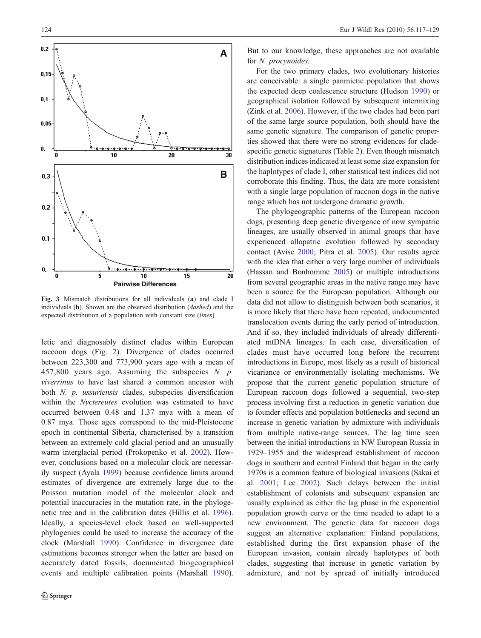<span id="page-8-0"></span>

Fig. 3 Mismatch distributions for all individuals (a) and clade I individuals (b). Shown are the observed distribution (dashed) and the expected distribution of a population with constant size (lines)

letic and diagnosably distinct clades within European raccoon dogs (Fig. [2\)](#page-6-0). Divergence of clades occurred between 223,300 and 773,900 years ago with a mean of 457,800 years ago. Assuming the subspecies  $N.$   $p.$ viverrinus to have last shared a common ancestor with both N. p. ussuriensis clades, subspecies diversification within the Nyctereutes evolution was estimated to have occurred between 0.48 and 1.37 mya with a mean of 0.87 mya. Those ages correspond to the mid-Pleistocene epoch in continental Siberia, characterised by a transition between an extremely cold glacial period and an unusually warm interglacial period (Prokopenko et al. [2002\)](#page-12-0). However, conclusions based on a molecular clock are necessarily suspect (Ayala [1999](#page-11-0)) because confidence limits around estimates of divergence are extremely large due to the Poisson mutation model of the molecular clock and potential inaccuracies in the mutation rate, in the phylogenetic tree and in the calibration dates (Hillis et al. [1996](#page-11-0)). Ideally, a species-level clock based on well-supported phylogenies could be used to increase the accuracy of the clock (Marshall [1990](#page-12-0)). Confidence in divergence date estimations becomes stronger when the latter are based on accurately dated fossils, documented biogeographical events and multiple calibration points (Marshall [1990](#page-12-0)).

But to our knowledge, these approaches are not available for N. procynoides.

For the two primary clades, two evolutionary histories are conceivable: a single panmictic population that shows the expected deep coalescence structure (Hudson [1990](#page-12-0)) or geographical isolation followed by subsequent intermixing (Zink et al. [2006\)](#page-13-0). However, if the two clades had been part of the same large source population, both should have the same genetic signature. The comparison of genetic properties showed that there were no strong evidences for cladespecific genetic signatures (Table [2\)](#page-7-0). Even though mismatch distribution indices indicated at least some size expansion for the haplotypes of clade I, other statistical test indices did not corroborate this finding. Thus, the data are more consistent with a single large population of raccoon dogs in the native range which has not undergone dramatic growth.

The phylogeographic patterns of the European raccoon dogs, presenting deep genetic divergence of now sympatric lineages, are usually observed in animal groups that have experienced allopatric evolution followed by secondary contact (Avise [2000;](#page-11-0) Pitra et al. [2005](#page-12-0)). Our results agree with the idea that either a very large number of individuals (Hassan and Bonhomme [2005](#page-11-0)) or multiple introductions from several geographic areas in the native range may have been a source for the European population. Although our data did not allow to distinguish between both scenarios, it is more likely that there have been repeated, undocumented translocation events during the early period of introduction. And if so, they included individuals of already differentiated mtDNA lineages. In each case, diversification of clades must have occurred long before the recurrent introductions in Europe, most likely as a result of historical vicariance or environmentally isolating mechanisms. We propose that the current genetic population structure of European raccoon dogs followed a sequential, two-step process involving first a reduction in genetic variation due to founder effects and population bottlenecks and second an increase in genetic variation by admixture with individuals from multiple native-range sources. The lag time seen between the initial introductions in NW European Russia in 1929–1955 and the widespread establishment of raccoon dogs in southern and central Finland that began in the early 1970s is a common feature of biological invasions (Sakai et al. [2001](#page-12-0); Lee [2002\)](#page-12-0). Such delays between the initial establishment of colonists and subsequent expansion are usually explained as either the lag phase in the exponential population growth curve or the time needed to adapt to a new environment. The genetic data for raccoon dogs suggest an alternative explanation: Finland populations, established during the first expansion phase of the European invasion, contain already haplotypes of both clades, suggesting that increase in genetic variation by admixture, and not by spread of initially introduced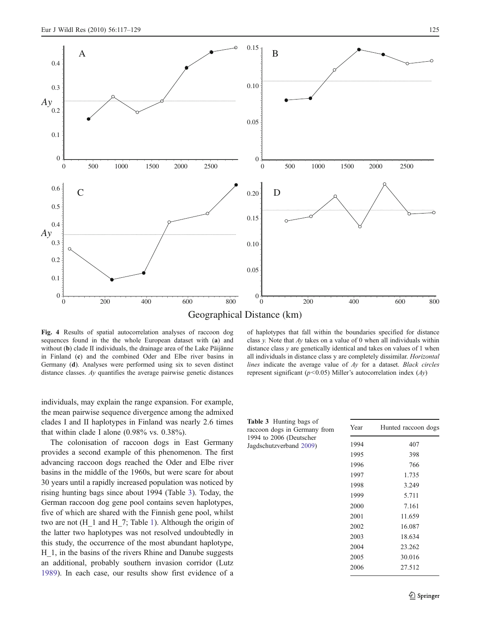<span id="page-9-0"></span>

Geographical Distance (km)

Fig. 4 Results of spatial autocorrelation analyses of raccoon dog sequences found in the the whole European dataset with (a) and without (b) clade II individuals, the drainage area of the Lake Päijänne in Finland (c) and the combined Oder and Elbe river basins in Germany (d). Analyses were performed using six to seven distinct distance classes. Ay quantifies the average pairwise genetic distances

individuals, may explain the range expansion. For example, the mean pairwise sequence divergence among the admixed clades I and II haplotypes in Finland was nearly 2.6 times that within clade I alone (0.98% vs. 0.38%).

The colonisation of raccoon dogs in East Germany provides a second example of this phenomenon. The first advancing raccoon dogs reached the Oder and Elbe river basins in the middle of the 1960s, but were scare for about 30 years until a rapidly increased population was noticed by rising hunting bags since about 1994 (Table 3). Today, the German raccoon dog gene pool contains seven haplotypes, five of which are shared with the Finnish gene pool, whilst two are not (H\_1 and H\_7; Table [1](#page-4-0)). Although the origin of the latter two haplotypes was not resolved undoubtedly in this study, the occurrence of the most abundant haplotype, H\_1, in the basins of the rivers Rhine and Danube suggests an additional, probably southern invasion corridor (Lutz [1989\)](#page-12-0). In each case, our results show first evidence of a

of haplotypes that fall within the boundaries specified for distance class y. Note that  $Av$  takes on a value of 0 when all individuals within distance class y are genetically identical and takes on values of 1 when all individuals in distance class y are completely dissimilar. Horizontal lines indicate the average value of Ay for a dataset. Black circles represent significant ( $p$ <0.05) Miller's autocorrelation index (Ay)

| <b>Table 3</b> Hunting bags of<br>raccoon dogs in Germany from | Year | Hunted raccoon dogs |
|----------------------------------------------------------------|------|---------------------|
| 1994 to 2006 (Deutscher<br>Jagdschutzverband 2009)             | 1994 | 407                 |
|                                                                | 1995 | 398                 |
|                                                                | 1996 | 766                 |
|                                                                | 1997 | 1.735               |
|                                                                | 1998 | 3.249               |
|                                                                | 1999 | 5.711               |
|                                                                | 2000 | 7.161               |
|                                                                | 2001 | 11.659              |
|                                                                | 2002 | 16.087              |
|                                                                | 2003 | 18.634              |
|                                                                | 2004 | 23.262              |
|                                                                | 2005 | 30.016              |
|                                                                | 2006 | 27.512              |
|                                                                |      |                     |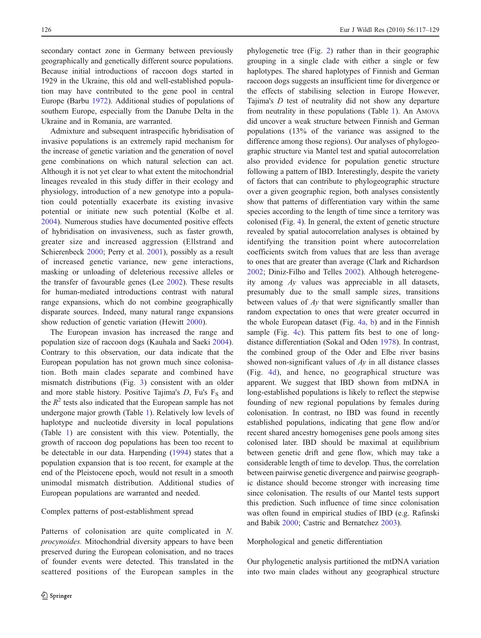secondary contact zone in Germany between previously geographically and genetically different source populations. Because initial introductions of raccoon dogs started in 1929 in the Ukraine, this old and well-established population may have contributed to the gene pool in central Europe (Barbu [1972\)](#page-11-0). Additional studies of populations of southern Europe, especially from the Danube Delta in the Ukraine and in Romania, are warranted.

Admixture and subsequent intraspecific hybridisation of invasive populations is an extremely rapid mechanism for the increase of genetic variation and the generation of novel gene combinations on which natural selection can act. Although it is not yet clear to what extent the mitochondrial lineages revealed in this study differ in their ecology and physiology, introduction of a new genotype into a population could potentially exacerbate its existing invasive potential or initiate new such potential (Kolbe et al. [2004\)](#page-12-0). Numerous studies have documented positive effects of hybridisation on invasiveness, such as faster growth, greater size and increased aggression (Ellstrand and Schierenbeck [2000;](#page-11-0) Perry et al. [2001](#page-12-0)), possibly as a result of increased genetic variance, new gene interactions, masking or unloading of deleterious recessive alleles or the transfer of favourable genes (Lee [2002\)](#page-12-0). These results for human-mediated introductions contrast with natural range expansions, which do not combine geographically disparate sources. Indeed, many natural range expansions show reduction of genetic variation (Hewitt [2000\)](#page-11-0).

The European invasion has increased the range and population size of raccoon dogs (Kauhala and Saeki [2004](#page-12-0)). Contrary to this observation, our data indicate that the European population has not grown much since colonisation. Both main clades separate and combined have mismatch distributions (Fig. [3](#page-8-0)) consistent with an older and more stable history. Positive Tajima's  $D$ , Fu's  $F<sub>S</sub>$  and the  $R^2$  tests also indicated that the European sample has not undergone major growth (Table [1](#page-4-0)). Relatively low levels of haplotype and nucleotide diversity in local populations (Table [1\)](#page-4-0) are consistent with this view. Potentially, the growth of raccoon dog populations has been too recent to be detectable in our data. Harpending [\(1994](#page-11-0)) states that a population expansion that is too recent, for example at the end of the Pleistocene epoch, would not result in a smooth unimodal mismatch distribution. Additional studies of European populations are warranted and needed.

#### Complex patterns of post-establishment spread

Patterns of colonisation are quite complicated in N. procynoides. Mitochondrial diversity appears to have been preserved during the European colonisation, and no traces of founder events were detected. This translated in the scattered positions of the European samples in the phylogenetic tree (Fig. [2](#page-6-0)) rather than in their geographic grouping in a single clade with either a single or few haplotypes. The shared haplotypes of Finnish and German raccoon dogs suggests an insufficient time for divergence or the effects of stabilising selection in Europe However, Tajima's D test of neutrality did not show any departure from neutrality in these populations (Table [1\)](#page-4-0). An AMOVA did uncover a weak structure between Finnish and German populations (13% of the variance was assigned to the difference among those regions). Our analyses of phylogeographic structure via Mantel test and spatial autocorrelation also provided evidence for population genetic structure following a pattern of IBD. Interestingly, despite the variety of factors that can contribute to phylogeographic structure over a given geographic region, both analyses consistently show that patterns of differentiation vary within the same species according to the length of time since a territory was colonised (Fig. [4](#page-9-0)). In general, the extent of genetic structure revealed by spatial autocorrelation analyses is obtained by identifying the transition point where autocorrelation coefficients switch from values that are less than average to ones that are greater than average (Clark and Richardson [2002](#page-11-0); Diniz-Filho and Telles [2002](#page-11-0)). Although heterogeneity among Ay values was appreciable in all datasets, presumably due to the small sample sizes, transitions between values of Ay that were significantly smaller than random expectation to ones that were greater occurred in the whole European dataset (Fig. [4a, b\)](#page-9-0) and in the Finnish sample (Fig. [4c\)](#page-9-0). This pattern fits best to one of longdistance differentiation (Sokal and Oden [1978\)](#page-12-0). In contrast, the combined group of the Oder and Elbe river basins showed non-significant values of  $Ay$  in all distance classes (Fig. [4d\)](#page-9-0), and hence, no geographical structure was apparent. We suggest that IBD shown from mtDNA in long-established populations is likely to reflect the stepwise founding of new regional populations by females during colonisation. In contrast, no IBD was found in recently established populations, indicating that gene flow and/or recent shared ancestry homogenises gene pools among sites colonised later. IBD should be maximal at equilibrium between genetic drift and gene flow, which may take a considerable length of time to develop. Thus, the correlation between pairwise genetic divergence and pairwise geographic distance should become stronger with increasing time since colonisation. The results of our Mantel tests support this prediction. Such influence of time since colonisation was often found in empirical studies of IBD (e.g. Rafinski and Babik [2000;](#page-12-0) Castric and Bernatchez [2003\)](#page-11-0).

Morphological and genetic differentiation

Our phylogenetic analysis partitioned the mtDNA variation into two main clades without any geographical structure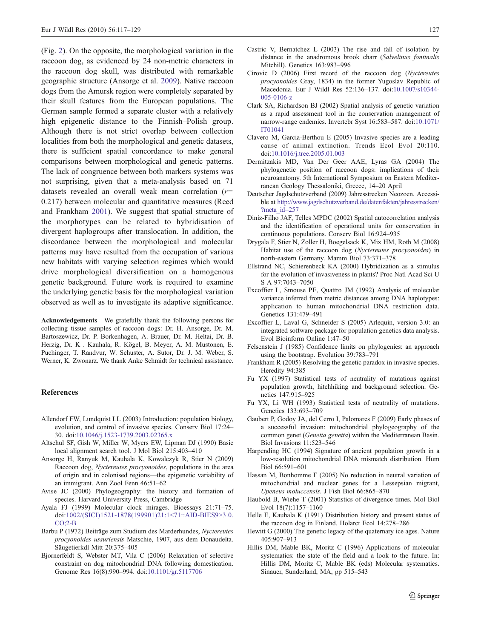<span id="page-11-0"></span>(Fig. [2\)](#page-6-0). On the opposite, the morphological variation in the raccoon dog, as evidenced by 24 non-metric characters in the raccoon dog skull, was distributed with remarkable geographic structure (Ansorge et al. 2009). Native raccoon dogs from the Amursk region were completely separated by their skull features from the European populations. The German sample formed a separate cluster with a relatively high epigenetic distance to the Finnish–Polish group. Although there is not strict overlap between collection localities from both the morphological and genetic datasets, there is sufficient spatial concordance to make general comparisons between morphological and genetic patterns. The lack of congruence between both markers systems was not surprising, given that a meta-analysis based on 71 datasets revealed an overall weak mean correlation  $(r=$ 0.217) between molecular and quantitative measures (Reed and Frankham [2001\)](#page-12-0). We suggest that spatial structure of the morphotypes can be related to hybridisation of divergent haplogroups after translocation. In addition, the discordance between the morphological and molecular patterns may have resulted from the occupation of various new habitats with varying selection regimes which would drive morphological diversification on a homogenous genetic background. Future work is required to examine the underlying genetic basis for the morphological variation observed as well as to investigate its adaptive significance.

Acknowledgements We gratefully thank the following persons for collecting tissue samples of raccoon dogs: Dr. H. Ansorge, Dr. M. Bartoszewicz, Dr. P. Borkenhagen, A. Brauer, Dr. M. Heltai, Dr. B. Herzig, Dr. K . Kauhala, R. Kögel, B. Meyer, A. M. Mustonen, E. Puchinger, T. Randvur, W. Schuster, A. Sutor, Dr. J. M. Weber, S. Werner, K. Zwonarz. We thank Anke Schmidt for technical assistance.

#### References

- Allendorf FW, Lundquist LL (2003) Introduction: population biology, evolution, and control of invasive species. Conserv Biol 17:24– 30. doi[:10.1046/j.1523-1739.2003.02365.x](http://dx.doi.org/10.1046/j.1523-1739.2003.02365.x)
- Altschul SF, Gish W, Miller W, Myers EW, Lipman DJ (1990) Basic local alignment search tool. J Mol Biol 215:403–410
- Ansorge H, Ranyuk M, Kauhala K, Kowalczyk R, Stier N (2009) Raccoon dog, Nyctereutes procyonoides, populations in the area of origin and in colonised regions—the epigenetic variability of an immigrant. Ann Zool Fenn 46:51–62
- Avise JC (2000) Phylogeography: the history and formation of species. Harvard University Press, Cambridge
- Ayala FJ (1999) Molecular clock mirages. Bioessays 21:71–75. doi:[1002/\(SICI\)1521-1878\(199901\)21:1<71::AID-BIES9>3.0.](http://dx.doi.org/1002/(SICI)1521-1878(199901)21:1<71::AID-BIES9>3.0.CO;2-B)  $CO:2-R$
- Barbu P (1972) Beiträge zum Studium des Marderhundes, Nyctereutes procyonoides ussuriensis Matschie, 1907, aus dem Donaudelta. Säugetierkdl Mitt 20:375–405
- Bjornerfeldt S, Webster MT, Vila C (2006) Relaxation of selective constraint on dog mitochondrial DNA following domestication. Genome Res 16(8):990–994. doi:[10.1101/gr.5117706](http://dx.doi.org/10.1101/gr.5117706)
- Castric V, Bernatchez L (2003) The rise and fall of isolation by distance in the anadromous brook charr (Salvelinus fontinalis Mitchill). Genetics 163:983–996
- Cirovic D (2006) First record of the raccoon dog (Nyctereutes procyonoides Gray, 1834) in the former Yugoslav Republic of Macedonia. Eur J Wildl Res 52:136–137. doi[:10.1007/s10344-](http://dx.doi.org/10.1007/s10344-005-0106-z) [005-0106-z](http://dx.doi.org/10.1007/s10344-005-0106-z)
- Clark SA, Richardson BJ (2002) Spatial analysis of genetic variation as a rapid assessment tool in the conservation management of narrow-range endemics. Invertebr Syst 16:583–587. doi[:10.1071/](http://dx.doi.org/10.1071/IT01041) [IT01041](http://dx.doi.org/10.1071/IT01041)
- Clavero M, Garcia-Berthou E (2005) Invasive species are a leading cause of animal extinction. Trends Ecol Evol 20:110. doi[:10.1016/j.tree.2005.01.003](http://dx.doi.org/10.1016/j.tree.2005.01.003)
- Dermitzakis MD, Van Der Geer AAE, Lyras GA (2004) The phylogenetic position of raccoon dogs: implications of their neuroanatomy. 5th International Symposium on Eastern Mediterranean Geology Thessaloniki, Greece, 14–20 April
- Deutscher Jagdschutzverband (2009) Jahresstrecken Neozoen. Accessible at [http://www.jagdschutzverband.de/datenfakten/jahresstrecken/](http://www.jagdschutzverband.de/datenfakten/jahresstrecken/?meta_id=257) [?meta\\_id=257](http://www.jagdschutzverband.de/datenfakten/jahresstrecken/?meta_id=257)
- Diniz-Filho JAF, Telles MPDC (2002) Spatial autocorrelation analysis and the identification of operational units for conservation in continuous populations. Conserv Biol 16:924–935
- Drygala F, Stier N, Zoller H, Boegelsack K, Mix HM, Roth M (2008) Habitat use of the raccoon dog (Nyctereutes procyonoides) in north-eastern Germany. Mamm Biol 73:371–378
- Ellstrand NC, Schierenbeck KA (2000) Hybridization as a stimulus for the evolution of invasiveness in plants? Proc Natl Acad Sci U S A 97:7043–7050
- Excoffier L, Smouse PE, Quattro JM (1992) Analysis of molecular variance inferred from metric distances among DNA haplotypes: application to human mitochondrial DNA restriction data. Genetics 131:479–491
- Excoffier L, Laval G, Schneider S (2005) Arlequin, version 3.0: an integrated software package for population genetics data analysis. Evol Bioinform Online 1:47–50
- Felsenstein J (1985) Confidence limits on phylogenies: an approach using the bootstrap. Evolution 39:783–791
- Frankham R (2005) Resolving the genetic paradox in invasive species. Heredity 94:385
- Fu YX (1997) Statistical tests of neutrality of mutations against population growth, hitchhiking and background selection. Genetics 147:915–925
- Fu YX, Li WH (1993) Statistical tests of neutrality of mutations. Genetics 133:693–709
- Gaubert P, Godoy JA, del Cerro I, Palomares F (2009) Early phases of a successful invasion: mitochondrial phylogeography of the common genet (Genetta genetta) within the Mediterranean Basin. Biol Invasions 11:523–546
- Harpending HC (1994) Signature of ancient population growth in a low-resolution mitochondrial DNA mismatch distribution. Hum Biol 66:591–601
- Hassan M, Bonhomme F (2005) No reduction in neutral variation of mitochondrial and nuclear genes for a Lessepsian migrant, Upeneus moluccensis. J Fish Biol 66:865–870
- Haubold B, Wiehe T (2001) Statistics of divergence times. Mol Biol Evol 18(7):1157–1160
- Helle E, Kauhala K (1991) Distribution history and present status of the raccoon dog in Finland. Holarct Ecol 14:278–286
- Hewitt G (2000) The genetic legacy of the quaternary ice ages. Nature 405:907–913
- Hillis DM, Mable BK, Moritz C (1996) Applications of molecular systematics: the state of the field and a look to the future. In: Hillis DM, Moritz C, Mable BK (eds) Molecular systematics. Sinauer, Sunderland, MA, pp 515–543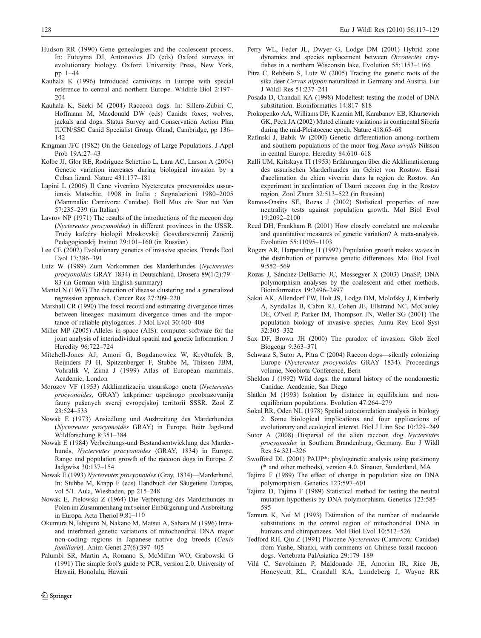- <span id="page-12-0"></span>Hudson RR (1990) Gene genealogies and the coalescent process. In: Futuyma DJ, Antonovics JD (eds) Oxford surveys in evolutionary biology. Oxford University Press, New York, pp 1–44
- Kauhala K (1996) Introduced carnivores in Europe with special reference to central and northern Europe. Wildlife Biol 2:197– 204
- Kauhala K, Saeki M (2004) Raccoon dogs. In: Sillero-Zubiri C, Hoffmann M, Macdonald DW (eds) Canids: foxes, wolves, jackals and dogs. Status Survey and Conservation Action Plan IUCN/SSC Canid Specialist Group, Gland, Cambridge, pp 136– 142
- Kingman JFC (1982) On the Genealogy of Large Populations. J Appl Prob 19A:27–43
- Kolbe JJ, Glor RE, Rodriguez Schettino L, Lara AC, Larson A (2004) Genetic variation increases during biological invasion by a Cuban lizard. Nature 431:177–181
- Lapini L (2006) Il Cane viverrino Nyctereutes procyonoides ussuriensis Matschie, 1908 in Italia : Segnalazioni 1980–2005 (Mammalia: Carnivora: Canidae). Boll Mus civ Stor nat Ven 57:235–239 (in Italian)
- Lavrov NP (1971) The results of the introductions of the raccoon dog (Nyctereutes procyonoides) in different provinces in the USSR. Trudy kafedry biologii Moskovskij Gosvdarstvennij Zaocnij Pedagogiceskij Institut 29:101–160 (in Russian)
- Lee CE (2002) Evolutionary genetics of invasive species. Trends Ecol Evol 17:386–391
- Lutz W (1989) Zum Vorkommen des Marderhundes (Nyctereutes procyonoides GRAY 1834) in Deutschland. Drosera 89(1/2):79– 83 (in German with English summary)
- Mantel N (1967) The detection of disease clustering and a generalized regression approach. Cancer Res 27:209–220
- Marshall CR (1990) The fossil record and estimating divergence times between lineages: maximum divergence times and the importance of reliable phylogenies. J Mol Evol 30:400–408
- Miller MP (2005) Alleles in space (AIS): computer software for the joint analysis of interindividual spatial and genetic Information. J Heredity 96:722–724
- Mitchell-Jones AJ, Amori G, Bogdanowicz W, Kryðtufek B, Reijnders PJ H, Spitzenberger F, Stubbe M, Thissen JBM, Vohralik V, Zima J (1999) Atlas of European mammals. Academic, London
- Morozov VF (1953) Akklimatizacija ussurskogo enota (Nyctereutes procyonoides, GRAY) kakprimer uspešnogo preobrazovanija fauny pušcnych sverej evropejskoj territorii SSSR. Zool Z 23:524–533
- Nowak E (1973) Ansiedlung und Ausbreitung des Marderhundes (Nyctereutes procyonoides GRAY) in Europa. Beitr Jagd-und Wildforschung 8:351–384
- Nowak E (1984) Verbreitungs-und Bestandsentwicklung des Marderhunds, Nyctereutes procyonoides (GRAY, 1834) in Europe. Range and population growth of the raccoon dogs in Europe. Z Jadgwiss 30:137–154
- Nowak E (1993) Nyctereutes procyonoides (Gray, 1834)—Marderhund. In: Stubbe M, Krapp F (eds) Handbuch der Säugetiere Europas, vol 5/1. Aula, Wiesbaden, pp 215–248
- Nowak E, Pielowski Z (1964) Die Verbreitung des Marderhundes in Polen im Zusammenhang mit seiner Einbürgerung und Ausbreitung in Europa. Acta Theriol 9:81–110
- Okumura N, Ishiguro N, Nakano M, Matsui A, Sahara M (1996) Intraand interbreed genetic variations of mitochondrial DNA major non-coding regions in Japanese native dog breeds (Canis familiaris). Anim Genet 27(6):397-405
- Palumbi SR, Martin A, Romano S, McMillan WO, Grabowski G (1991) The simple fool's guide to PCR, version 2.0. University of Hawaii, Honolulu, Hawaii
- Perry WL, Feder JL, Dwyer G, Lodge DM (2001) Hybrid zone dynamics and species replacement between Orconectes crayfishes in a northern Wisconsin lake. Evolution 55:1153–1166
- Pitra C, Rehbein S, Lutz W (2005) Tracing the genetic roots of the sika deer Cervus nippon naturalized in Germany and Austria. Eur J Wildl Res 51:237–241
- Posada D, Crandall KA (1998) Modeltest: testing the model of DNA substitution. Bioinformatics 14:817–818
- Prokopenko AA, Williams DF, Kuzmin MI, Karabanov EB, Khursevich GK, Peck JA (2002) Muted climate variations in continental Siberia during the mid-Pleistocene epoch. Nature 418:65–68
- Rafinski J, Babik W (2000) Genetic differentiation among northern and southern populations of the moor frog Rana arvalis Nilsson in central Europe. Heredity 84:610–618
- Ralli UM, Kritskaya TI (1953) Erfahrungen über die Akklimatisierung des ussurischen Marderhundes im Gebiet von Rostow. Essai d'acclimation du chien viverrin dans la region de Rostov. An experiment in acclimation of Usurri raccoon dog in the Rostov region. Zool Zhurn 32:513–522 (in Russian)
- Ramos-Onsins SE, Rozas J (2002) Statistical properties of new neutrality tests against population growth. Mol Biol Evol 19:2092–2100
- Reed DH, Frankham R (2001) How closely correlated are molecular and quantitative measures of genetic variation? A meta-analysis. Evolution 55:11095–1103
- Rogers AR, Harpending H (1992) Population growth makes waves in the distribution of pairwise genetic differences. Mol Biol Evol 9:552–569
- Rozas J, Sánchez-DelBarrio JC, Messegyer X (2003) DnaSP, DNA polymorphism analyses by the coalescent and other methods. Bioinformatics 19:2496–2497
- Sakai AK, Allendorf FW, Holt JS, Lodge DM, Molofsky J, Kimberly A, Syndallas B, Cabin RJ, Cohen JE, Ellstrand NC, McCauley DE, O'Neil P, Parker IM, Thompson JN, Weller SG (2001) The population biology of invasive species. Annu Rev Ecol Syst 32:305–332
- Sax DF, Brown JH (2000) The paradox of invasion. Glob Ecol Biogeogr 9:363–371
- Schwarz S, Sutor A, Pitra C (2004) Raccon dogs—silently colonizing Europe (Nyctereutes procynoides GRAY 1834). Proceedings volume, Neobiota Conference, Bern
- Sheldon J (1992) Wild dogs: the natural history of the nondomestic Canidae. Academic, San Diego
- Slatkin M (1993) Isolation by distance in equilibrium and nonequilibrium populations. Evolution 47:264–279
- Sokal RR, Oden NL (1978) Spatial autocorrelation analysis in biology 2. Some biological implications and four applications of evolutionary and ecological interest. Biol J Linn Soc 10:229–249
- Sutor A (2008) Dispersal of the alien raccoon dog Nyctereutes procyonoides in Southern Brandenburg, Germany. Eur J Wildl Res 54:321–326
- Swofford DL (2001) PAUP\*: phylogenetic analysis using parsimony (\* and other methods), version 4.0. Sinauer, Sunderland, MA
- Tajima F (1989) The effect of change in population size on DNA polymorphism. Genetics 123:597–601
- Tajima D, Tajima F (1989) Statistical method for testing the neutral mutation hypothesis by DNA polymorphism. Genetics 123:585– 595
- Tamura K, Nei M (1993) Estimation of the number of nucleotide substitutions in the control region of mitochondrial DNA in humans and chimpanzees. Mol Biol Evol 10:512–526
- Tedford RH, Qiu Z (1991) Pliocene Nyctereutes (Carnivora: Canidae) from Yushe, Shanxi, with comments on Chinese fossil raccoondogs. Vertebrata PalAsiatica 29:179–189
- Vilà C, Savolainen P, Maldonado JE, Amorim IR, Rice JE, Honeycutt RL, Crandall KA, Lundeberg J, Wayne RK